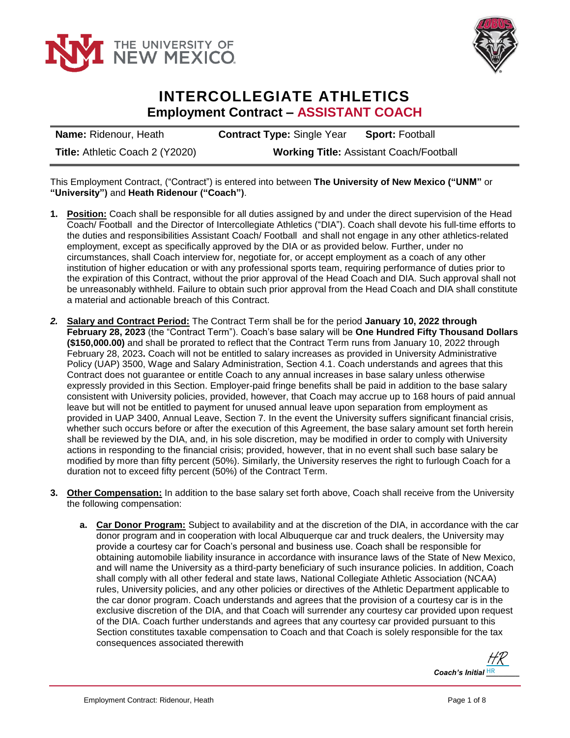



## **INTERCOLLEGIATE ATHLETICS Employment Contract – ASSISTANT COACH**

**Name:** Ridenour, Heath **Contract Type:** Single Year **Sport:** Football **Title:** Athletic Coach 2 (Y2020) **Working Title:** Assistant Coach/Football

This Employment Contract, ("Contract") is entered into between **The University of New Mexico ("UNM"** or **"University")** and **Heath Ridenour ("Coach")**.

- **1. Position:** Coach shall be responsible for all duties assigned by and under the direct supervision of the Head Coach/ Football and the Director of Intercollegiate Athletics ("DIA"). Coach shall devote his full-time efforts to the duties and responsibilities Assistant Coach/ Football and shall not engage in any other athletics-related employment, except as specifically approved by the DIA or as provided below. Further, under no circumstances, shall Coach interview for, negotiate for, or accept employment as a coach of any other institution of higher education or with any professional sports team, requiring performance of duties prior to the expiration of this Contract, without the prior approval of the Head Coach and DIA. Such approval shall not be unreasonably withheld. Failure to obtain such prior approval from the Head Coach and DIA shall constitute a material and actionable breach of this Contract.
- *2.* **Salary and Contract Period:** The Contract Term shall be for the period **January 10, 2022 through February 28, 2023** (the "Contract Term"). Coach's base salary will be **One Hundred Fifty Thousand Dollars (\$150,000.00)** and shall be prorated to reflect that the Contract Term runs from January 10, 2022 through February 28, 2023**.** Coach will not be entitled to salary increases as provided in University Administrative Policy (UAP) 3500, Wage and Salary Administration, Section 4.1. Coach understands and agrees that this Contract does not guarantee or entitle Coach to any annual increases in base salary unless otherwise expressly provided in this Section. Employer-paid fringe benefits shall be paid in addition to the base salary consistent with University policies, provided, however, that Coach may accrue up to 168 hours of paid annual leave but will not be entitled to payment for unused annual leave upon separation from employment as provided in UAP 3400, Annual Leave, Section 7. In the event the University suffers significant financial crisis, whether such occurs before or after the execution of this Agreement, the base salary amount set forth herein shall be reviewed by the DIA, and, in his sole discretion, may be modified in order to comply with University actions in responding to the financial crisis; provided, however, that in no event shall such base salary be modified by more than fifty percent (50%). Similarly, the University reserves the right to furlough Coach for a duration not to exceed fifty percent (50%) of the Contract Term.
- **3. Other Compensation:** In addition to the base salary set forth above, Coach shall receive from the University the following compensation:
	- **a. Car Donor Program:** Subject to availability and at the discretion of the DIA, in accordance with the car donor program and in cooperation with local Albuquerque car and truck dealers, the University may provide a courtesy car for Coach's personal and business use. Coach shall be responsible for obtaining automobile liability insurance in accordance with insurance laws of the State of New Mexico, and will name the University as a third-party beneficiary of such insurance policies. In addition, Coach shall comply with all other federal and state laws, National Collegiate Athletic Association (NCAA) rules, University policies, and any other policies or directives of the Athletic Department applicable to the car donor program. Coach understands and agrees that the provision of a courtesy car is in the exclusive discretion of the DIA, and that Coach will surrender any courtesy car provided upon request of the DIA. Coach further understands and agrees that any courtesy car provided pursuant to this Section constitutes taxable compensation to Coach and that Coach is solely responsible for the tax consequences associated therewith

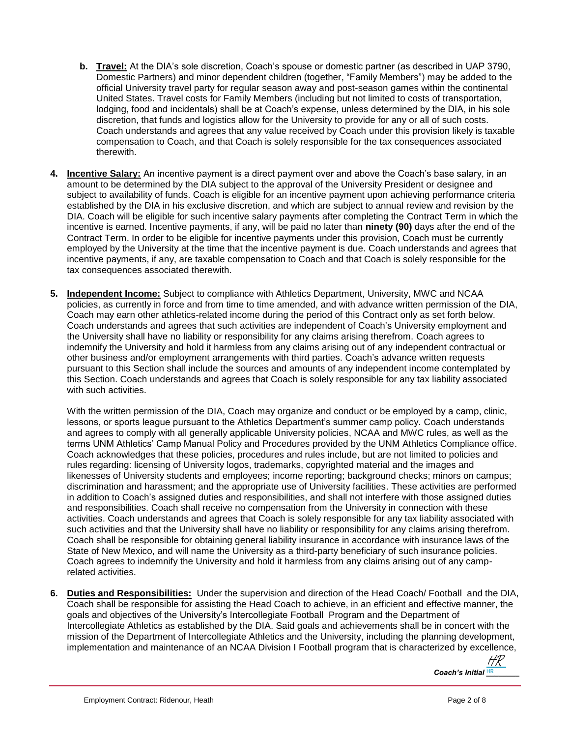- **b. Travel:** At the DIA's sole discretion, Coach's spouse or domestic partner (as described in UAP 3790, Domestic Partners) and minor dependent children (together, "Family Members") may be added to the official University travel party for regular season away and post-season games within the continental United States. Travel costs for Family Members (including but not limited to costs of transportation, lodging, food and incidentals) shall be at Coach's expense, unless determined by the DIA, in his sole discretion, that funds and logistics allow for the University to provide for any or all of such costs. Coach understands and agrees that any value received by Coach under this provision likely is taxable compensation to Coach, and that Coach is solely responsible for the tax consequences associated therewith.
- **4. Incentive Salary:** An incentive payment is a direct payment over and above the Coach's base salary, in an amount to be determined by the DIA subject to the approval of the University President or designee and subject to availability of funds. Coach is eligible for an incentive payment upon achieving performance criteria established by the DIA in his exclusive discretion, and which are subject to annual review and revision by the DIA. Coach will be eligible for such incentive salary payments after completing the Contract Term in which the incentive is earned. Incentive payments, if any, will be paid no later than **ninety (90)** days after the end of the Contract Term. In order to be eligible for incentive payments under this provision, Coach must be currently employed by the University at the time that the incentive payment is due. Coach understands and agrees that incentive payments, if any, are taxable compensation to Coach and that Coach is solely responsible for the tax consequences associated therewith.
- **5. Independent Income:** Subject to compliance with Athletics Department, University, MWC and NCAA policies, as currently in force and from time to time amended, and with advance written permission of the DIA, Coach may earn other athletics-related income during the period of this Contract only as set forth below. Coach understands and agrees that such activities are independent of Coach's University employment and the University shall have no liability or responsibility for any claims arising therefrom. Coach agrees to indemnify the University and hold it harmless from any claims arising out of any independent contractual or other business and/or employment arrangements with third parties. Coach's advance written requests pursuant to this Section shall include the sources and amounts of any independent income contemplated by this Section. Coach understands and agrees that Coach is solely responsible for any tax liability associated with such activities.

With the written permission of the DIA, Coach may organize and conduct or be employed by a camp, clinic, lessons, or sports league pursuant to the Athletics Department's summer camp policy. Coach understands and agrees to comply with all generally applicable University policies, NCAA and MWC rules, as well as the terms UNM Athletics' Camp Manual Policy and Procedures provided by the UNM Athletics Compliance office. Coach acknowledges that these policies, procedures and rules include, but are not limited to policies and rules regarding: licensing of University logos, trademarks, copyrighted material and the images and likenesses of University students and employees; income reporting; background checks; minors on campus; discrimination and harassment; and the appropriate use of University facilities. These activities are performed in addition to Coach's assigned duties and responsibilities, and shall not interfere with those assigned duties and responsibilities. Coach shall receive no compensation from the University in connection with these activities. Coach understands and agrees that Coach is solely responsible for any tax liability associated with such activities and that the University shall have no liability or responsibility for any claims arising therefrom. Coach shall be responsible for obtaining general liability insurance in accordance with insurance laws of the State of New Mexico, and will name the University as a third-party beneficiary of such insurance policies. Coach agrees to indemnify the University and hold it harmless from any claims arising out of any camprelated activities.

**6. Duties and Responsibilities:** Under the supervision and direction of the Head Coach/ Football and the DIA, Coach shall be responsible for assisting the Head Coach to achieve, in an efficient and effective manner, the goals and objectives of the University's Intercollegiate Football Program and the Department of Intercollegiate Athletics as established by the DIA. Said goals and achievements shall be in concert with the mission of the Department of Intercollegiate Athletics and the University, including the planning development, implementation and maintenance of an NCAA Division I Football program that is characterized by excellence,

*Coach's Initial HR* HR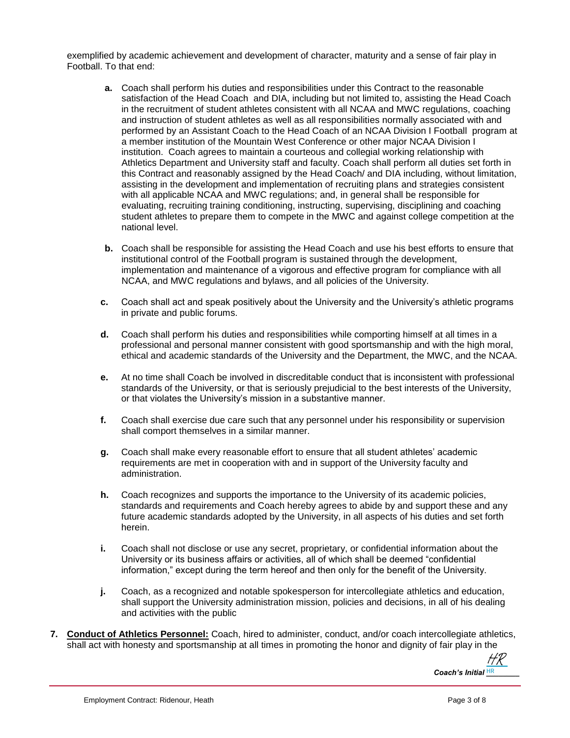exemplified by academic achievement and development of character, maturity and a sense of fair play in Football. To that end:

- **a.** Coach shall perform his duties and responsibilities under this Contract to the reasonable satisfaction of the Head Coach and DIA, including but not limited to, assisting the Head Coach in the recruitment of student athletes consistent with all NCAA and MWC regulations, coaching and instruction of student athletes as well as all responsibilities normally associated with and performed by an Assistant Coach to the Head Coach of an NCAA Division I Football program at a member institution of the Mountain West Conference or other major NCAA Division I institution. Coach agrees to maintain a courteous and collegial working relationship with Athletics Department and University staff and faculty. Coach shall perform all duties set forth in this Contract and reasonably assigned by the Head Coach/ and DIA including, without limitation, assisting in the development and implementation of recruiting plans and strategies consistent with all applicable NCAA and MWC regulations; and, in general shall be responsible for evaluating, recruiting training conditioning, instructing, supervising, disciplining and coaching student athletes to prepare them to compete in the MWC and against college competition at the national level.
- **b.** Coach shall be responsible for assisting the Head Coach and use his best efforts to ensure that institutional control of the Football program is sustained through the development, implementation and maintenance of a vigorous and effective program for compliance with all NCAA, and MWC regulations and bylaws, and all policies of the University.
- **c.** Coach shall act and speak positively about the University and the University's athletic programs in private and public forums.
- **d.** Coach shall perform his duties and responsibilities while comporting himself at all times in a professional and personal manner consistent with good sportsmanship and with the high moral, ethical and academic standards of the University and the Department, the MWC, and the NCAA.
- **e.** At no time shall Coach be involved in discreditable conduct that is inconsistent with professional standards of the University, or that is seriously prejudicial to the best interests of the University, or that violates the University's mission in a substantive manner.
- **f.** Coach shall exercise due care such that any personnel under his responsibility or supervision shall comport themselves in a similar manner.
- **g.** Coach shall make every reasonable effort to ensure that all student athletes' academic requirements are met in cooperation with and in support of the University faculty and administration.
- **h.** Coach recognizes and supports the importance to the University of its academic policies, standards and requirements and Coach hereby agrees to abide by and support these and any future academic standards adopted by the University, in all aspects of his duties and set forth herein.
- **i.** Coach shall not disclose or use any secret, proprietary, or confidential information about the University or its business affairs or activities, all of which shall be deemed "confidential information," except during the term hereof and then only for the benefit of the University.
- **j.** Coach, as a recognized and notable spokesperson for intercollegiate athletics and education, shall support the University administration mission, policies and decisions, in all of his dealing and activities with the public
- **7. Conduct of Athletics Personnel:** Coach, hired to administer, conduct, and/or coach intercollegiate athletics, shall act with honesty and sportsmanship at all times in promoting the honor and dignity of fair play in the

Coach's Initial **HR** [HR](https://secure.na2.echosign.com/verifier?tx=CBJCHBCAABAAOpaRKjStyxWiL972KAJQZ4fGi4x3YH9l)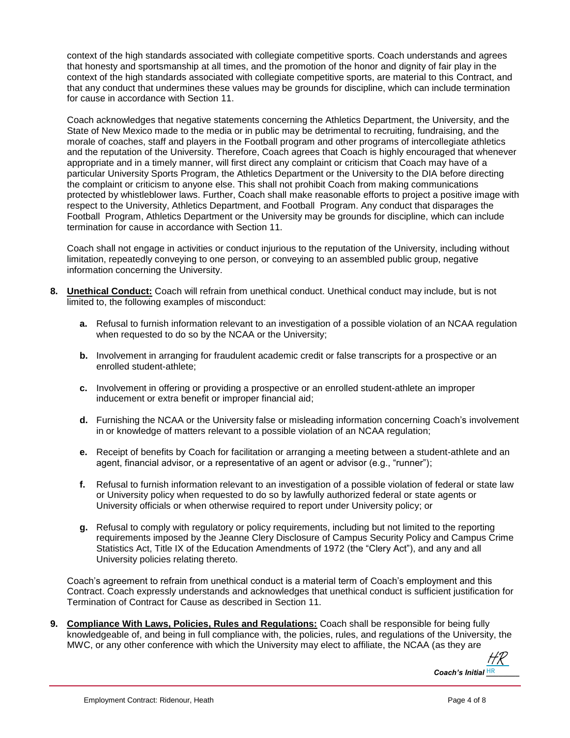context of the high standards associated with collegiate competitive sports. Coach understands and agrees that honesty and sportsmanship at all times, and the promotion of the honor and dignity of fair play in the context of the high standards associated with collegiate competitive sports, are material to this Contract, and that any conduct that undermines these values may be grounds for discipline, which can include termination for cause in accordance with Section 11.

Coach acknowledges that negative statements concerning the Athletics Department, the University, and the State of New Mexico made to the media or in public may be detrimental to recruiting, fundraising, and the morale of coaches, staff and players in the Football program and other programs of intercollegiate athletics and the reputation of the University. Therefore, Coach agrees that Coach is highly encouraged that whenever appropriate and in a timely manner, will first direct any complaint or criticism that Coach may have of a particular University Sports Program, the Athletics Department or the University to the DIA before directing the complaint or criticism to anyone else. This shall not prohibit Coach from making communications protected by whistleblower laws. Further, Coach shall make reasonable efforts to project a positive image with respect to the University, Athletics Department, and Football Program. Any conduct that disparages the Football Program, Athletics Department or the University may be grounds for discipline, which can include termination for cause in accordance with Section 11.

Coach shall not engage in activities or conduct injurious to the reputation of the University, including without limitation, repeatedly conveying to one person, or conveying to an assembled public group, negative information concerning the University.

- **8. Unethical Conduct:** Coach will refrain from unethical conduct. Unethical conduct may include, but is not limited to, the following examples of misconduct:
	- **a.** Refusal to furnish information relevant to an investigation of a possible violation of an NCAA regulation when requested to do so by the NCAA or the University;
	- **b.** Involvement in arranging for fraudulent academic credit or false transcripts for a prospective or an enrolled student-athlete;
	- **c.** Involvement in offering or providing a prospective or an enrolled student-athlete an improper inducement or extra benefit or improper financial aid;
	- **d.** Furnishing the NCAA or the University false or misleading information concerning Coach's involvement in or knowledge of matters relevant to a possible violation of an NCAA regulation;
	- **e.** Receipt of benefits by Coach for facilitation or arranging a meeting between a student-athlete and an agent, financial advisor, or a representative of an agent or advisor (e.g., "runner");
	- **f.** Refusal to furnish information relevant to an investigation of a possible violation of federal or state law or University policy when requested to do so by lawfully authorized federal or state agents or University officials or when otherwise required to report under University policy; or
	- **g.** Refusal to comply with regulatory or policy requirements, including but not limited to the reporting requirements imposed by the Jeanne Clery Disclosure of Campus Security Policy and Campus Crime Statistics Act, Title IX of the Education Amendments of 1972 (the "Clery Act"), and any and all University policies relating thereto.

Coach's agreement to refrain from unethical conduct is a material term of Coach's employment and this Contract. Coach expressly understands and acknowledges that unethical conduct is sufficient justification for Termination of Contract for Cause as described in Section 11.

**9. Compliance With Laws, Policies, Rules and Regulations:** Coach shall be responsible for being fully knowledgeable of, and being in full compliance with, the policies, rules, and regulations of the University, the MWC, or any other conference with which the University may elect to affiliate, the NCAA (as they are

*Coach's Initial* **HR** [HR](https://secure.na2.echosign.com/verifier?tx=CBJCHBCAABAAOpaRKjStyxWiL972KAJQZ4fGi4x3YH9l)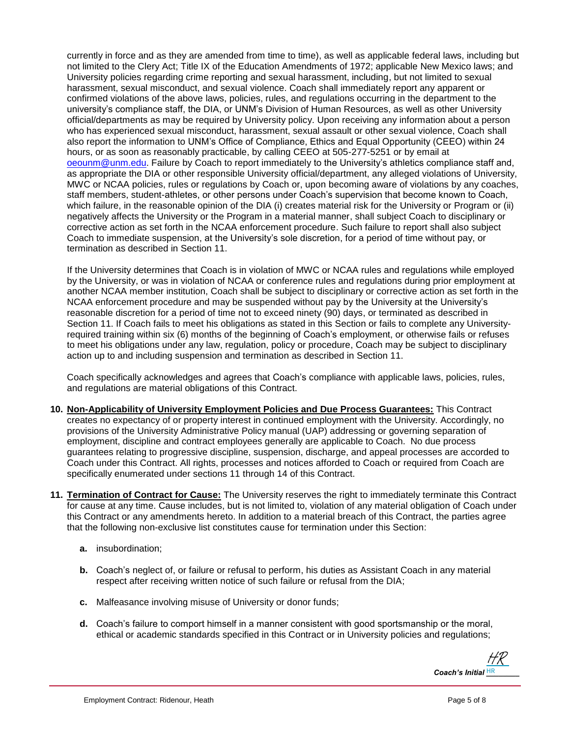currently in force and as they are amended from time to time), as well as applicable federal laws, including but not limited to the Clery Act; Title IX of the Education Amendments of 1972; applicable New Mexico laws; and University policies regarding crime reporting and sexual harassment, including, but not limited to sexual harassment, sexual misconduct, and sexual violence. Coach shall immediately report any apparent or confirmed violations of the above laws, policies, rules, and regulations occurring in the department to the university's compliance staff, the DIA, or UNM's Division of Human Resources, as well as other University official/departments as may be required by University policy. Upon receiving any information about a person who has experienced sexual misconduct, harassment, sexual assault or other sexual violence, Coach shall also report the information to UNM's Office of Compliance, Ethics and Equal Opportunity (CEEO) within 24 hours, or as soon as reasonably practicable, by calling CEEO at 505-277-5251 or by email at [oeounm@unm.edu.](mailto:oeounm@unm.edu) Failure by Coach to report immediately to the University's athletics compliance staff and, as appropriate the DIA or other responsible University official/department, any alleged violations of University, MWC or NCAA policies, rules or regulations by Coach or, upon becoming aware of violations by any coaches, staff members, student-athletes, or other persons under Coach's supervision that become known to Coach, which failure, in the reasonable opinion of the DIA (i) creates material risk for the University or Program or (ii) negatively affects the University or the Program in a material manner, shall subject Coach to disciplinary or corrective action as set forth in the NCAA enforcement procedure. Such failure to report shall also subject Coach to immediate suspension, at the University's sole discretion, for a period of time without pay, or termination as described in Section 11.

If the University determines that Coach is in violation of MWC or NCAA rules and regulations while employed by the University, or was in violation of NCAA or conference rules and regulations during prior employment at another NCAA member institution, Coach shall be subject to disciplinary or corrective action as set forth in the NCAA enforcement procedure and may be suspended without pay by the University at the University's reasonable discretion for a period of time not to exceed ninety (90) days, or terminated as described in Section 11. If Coach fails to meet his obligations as stated in this Section or fails to complete any Universityrequired training within six (6) months of the beginning of Coach's employment, or otherwise fails or refuses to meet his obligations under any law, regulation, policy or procedure, Coach may be subject to disciplinary action up to and including suspension and termination as described in Section 11.

Coach specifically acknowledges and agrees that Coach's compliance with applicable laws, policies, rules, and regulations are material obligations of this Contract.

- **10. Non-Applicability of University Employment Policies and Due Process Guarantees:** This Contract creates no expectancy of or property interest in continued employment with the University. Accordingly, no provisions of the University Administrative Policy manual (UAP) addressing or governing separation of employment, discipline and contract employees generally are applicable to Coach. No due process guarantees relating to progressive discipline, suspension, discharge, and appeal processes are accorded to Coach under this Contract. All rights, processes and notices afforded to Coach or required from Coach are specifically enumerated under sections 11 through 14 of this Contract.
- **11. Termination of Contract for Cause:** The University reserves the right to immediately terminate this Contract for cause at any time. Cause includes, but is not limited to, violation of any material obligation of Coach under this Contract or any amendments hereto. In addition to a material breach of this Contract, the parties agree that the following non-exclusive list constitutes cause for termination under this Section:
	- **a.** insubordination;
	- **b.** Coach's neglect of, or failure or refusal to perform, his duties as Assistant Coach in any material respect after receiving written notice of such failure or refusal from the DIA;
	- **c.** Malfeasance involving misuse of University or donor funds;
	- **d.** Coach's failure to comport himself in a manner consistent with good sportsmanship or the moral, ethical or academic standards specified in this Contract or in University policies and regulations;

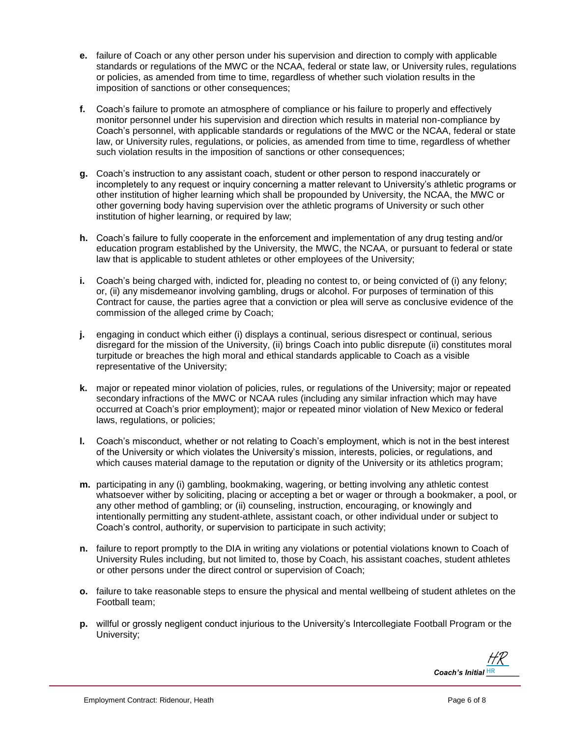- **e.** failure of Coach or any other person under his supervision and direction to comply with applicable standards or regulations of the MWC or the NCAA, federal or state law, or University rules, regulations or policies, as amended from time to time, regardless of whether such violation results in the imposition of sanctions or other consequences;
- **f.** Coach's failure to promote an atmosphere of compliance or his failure to properly and effectively monitor personnel under his supervision and direction which results in material non-compliance by Coach's personnel, with applicable standards or regulations of the MWC or the NCAA, federal or state law, or University rules, regulations, or policies, as amended from time to time, regardless of whether such violation results in the imposition of sanctions or other consequences;
- **g.** Coach's instruction to any assistant coach, student or other person to respond inaccurately or incompletely to any request or inquiry concerning a matter relevant to University's athletic programs or other institution of higher learning which shall be propounded by University, the NCAA, the MWC or other governing body having supervision over the athletic programs of University or such other institution of higher learning, or required by law;
- **h.** Coach's failure to fully cooperate in the enforcement and implementation of any drug testing and/or education program established by the University, the MWC, the NCAA, or pursuant to federal or state law that is applicable to student athletes or other employees of the University;
- **i.** Coach's being charged with, indicted for, pleading no contest to, or being convicted of (i) any felony; or, (ii) any misdemeanor involving gambling, drugs or alcohol. For purposes of termination of this Contract for cause, the parties agree that a conviction or plea will serve as conclusive evidence of the commission of the alleged crime by Coach;
- **j.** engaging in conduct which either (i) displays a continual, serious disrespect or continual, serious disregard for the mission of the University, (ii) brings Coach into public disrepute (ii) constitutes moral turpitude or breaches the high moral and ethical standards applicable to Coach as a visible representative of the University;
- **k.** major or repeated minor violation of policies, rules, or regulations of the University; major or repeated secondary infractions of the MWC or NCAA rules (including any similar infraction which may have occurred at Coach's prior employment); major or repeated minor violation of New Mexico or federal laws, regulations, or policies;
- **l.** Coach's misconduct, whether or not relating to Coach's employment, which is not in the best interest of the University or which violates the University's mission, interests, policies, or regulations, and which causes material damage to the reputation or dignity of the University or its athletics program;
- **m.** participating in any (i) gambling, bookmaking, wagering, or betting involving any athletic contest whatsoever wither by soliciting, placing or accepting a bet or wager or through a bookmaker, a pool, or any other method of gambling; or (ii) counseling, instruction, encouraging, or knowingly and intentionally permitting any student-athlete, assistant coach, or other individual under or subject to Coach's control, authority, or supervision to participate in such activity;
- **n.** failure to report promptly to the DIA in writing any violations or potential violations known to Coach of University Rules including, but not limited to, those by Coach, his assistant coaches, student athletes or other persons under the direct control or supervision of Coach;
- **o.** failure to take reasonable steps to ensure the physical and mental wellbeing of student athletes on the Football team;
- **p.** willful or grossly negligent conduct injurious to the University's Intercollegiate Football Program or the University;

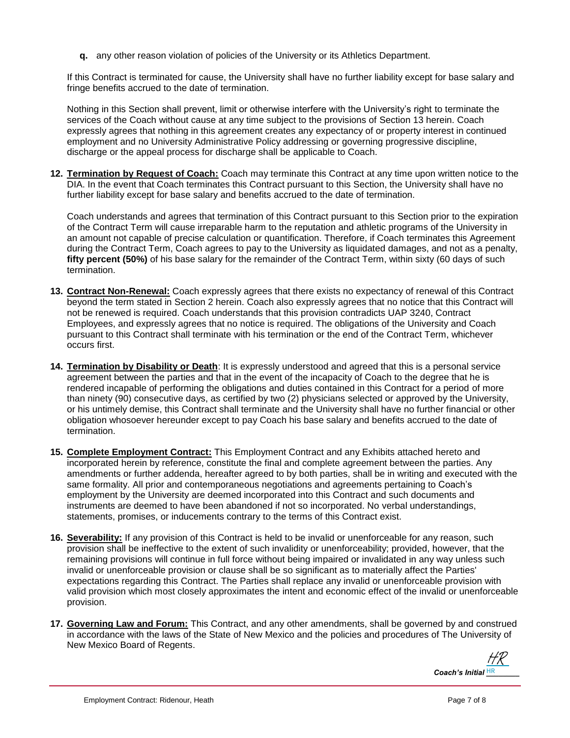**q.** any other reason violation of policies of the University or its Athletics Department.

If this Contract is terminated for cause, the University shall have no further liability except for base salary and fringe benefits accrued to the date of termination.

Nothing in this Section shall prevent, limit or otherwise interfere with the University's right to terminate the services of the Coach without cause at any time subject to the provisions of Section 13 herein. Coach expressly agrees that nothing in this agreement creates any expectancy of or property interest in continued employment and no University Administrative Policy addressing or governing progressive discipline, discharge or the appeal process for discharge shall be applicable to Coach.

**12. Termination by Request of Coach:** Coach may terminate this Contract at any time upon written notice to the DIA. In the event that Coach terminates this Contract pursuant to this Section, the University shall have no further liability except for base salary and benefits accrued to the date of termination.

Coach understands and agrees that termination of this Contract pursuant to this Section prior to the expiration of the Contract Term will cause irreparable harm to the reputation and athletic programs of the University in an amount not capable of precise calculation or quantification. Therefore, if Coach terminates this Agreement during the Contract Term, Coach agrees to pay to the University as liquidated damages, and not as a penalty, **fifty percent (50%)** of his base salary for the remainder of the Contract Term, within sixty (60 days of such termination.

- **13. Contract Non-Renewal:** Coach expressly agrees that there exists no expectancy of renewal of this Contract beyond the term stated in Section 2 herein. Coach also expressly agrees that no notice that this Contract will not be renewed is required. Coach understands that this provision contradicts UAP 3240, Contract Employees, and expressly agrees that no notice is required. The obligations of the University and Coach pursuant to this Contract shall terminate with his termination or the end of the Contract Term, whichever occurs first.
- **14. Termination by Disability or Death**: It is expressly understood and agreed that this is a personal service agreement between the parties and that in the event of the incapacity of Coach to the degree that he is rendered incapable of performing the obligations and duties contained in this Contract for a period of more than ninety (90) consecutive days, as certified by two (2) physicians selected or approved by the University, or his untimely demise, this Contract shall terminate and the University shall have no further financial or other obligation whosoever hereunder except to pay Coach his base salary and benefits accrued to the date of termination.
- **15. Complete Employment Contract:** This Employment Contract and any Exhibits attached hereto and incorporated herein by reference, constitute the final and complete agreement between the parties. Any amendments or further addenda, hereafter agreed to by both parties, shall be in writing and executed with the same formality. All prior and contemporaneous negotiations and agreements pertaining to Coach's employment by the University are deemed incorporated into this Contract and such documents and instruments are deemed to have been abandoned if not so incorporated. No verbal understandings, statements, promises, or inducements contrary to the terms of this Contract exist.
- **16. Severability:** If any provision of this Contract is held to be invalid or unenforceable for any reason, such provision shall be ineffective to the extent of such invalidity or unenforceability; provided, however, that the remaining provisions will continue in full force without being impaired or invalidated in any way unless such invalid or unenforceable provision or clause shall be so significant as to materially affect the Parties' expectations regarding this Contract. The Parties shall replace any invalid or unenforceable provision with valid provision which most closely approximates the intent and economic effect of the invalid or unenforceable provision.
- **17. Governing Law and Forum:** This Contract, and any other amendments, shall be governed by and construed in accordance with the laws of the State of New Mexico and the policies and procedures of The University of New Mexico Board of Regents.

*Coach's Initial* **HR** [HR](https://secure.na2.echosign.com/verifier?tx=CBJCHBCAABAAOpaRKjStyxWiL972KAJQZ4fGi4x3YH9l)